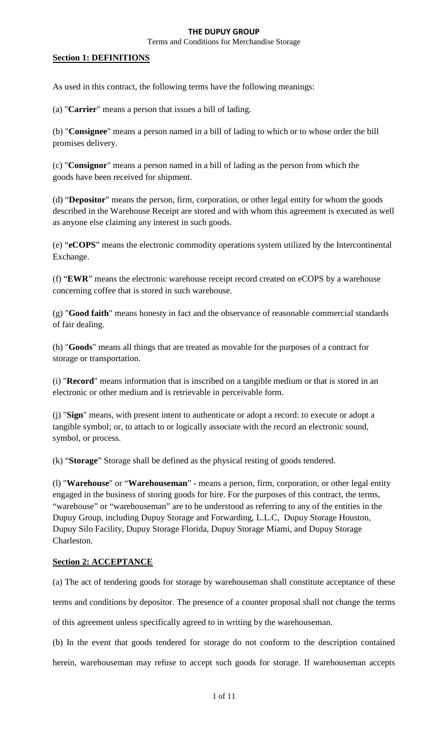Terms and Conditions for Merchandise Storage

## **Section 1: DEFINITIONS**

As used in this contract, the following terms have the following meanings:

(a) "**Carrier**" means a person that issues a bill of lading.

(b) "**Consignee**" means a person named in a bill of lading to which or to whose order the bill promises delivery.

(c) "**Consignor**" means a person named in a bill of lading as the person from which the [goods](http://www.law.cornell.edu/ucc/7/7-102%23Goods) have been received for shipment.

(d) "**Depositor**" means the person, firm, corporation, or other legal entity for whom the goods described in the Warehouse Receipt are stored and with whom this agreement is executed as well as anyone else claiming any interest in such goods.

(e) "**eCOPS**" means the electronic commodity operations system utilized by the Intercontinental Exchange.

(f) "**EWR**" means the electronic warehouse receipt record created on eCOPS by a warehouse concerning coffee that is stored in such warehouse.

(g) "**Good faith**" means honesty in fact and the observance of reasonable commercial standards of fair dealing.

(h) "**Goods**" means all things that are treated as movable for the purposes of a contract for storage or transportation.

(i) "**Record**" means information that is inscribed on a tangible medium or that is stored in an electronic or other medium and is retrievable in perceivable form.

(j) "**Sign**" means, with present intent to authenticate or adopt a record: to execute or adopt a tangible symbol; or, to attach to or logically associate with the record an electronic sound, symbol, or process.

(k) "**Storage**" Storage shall be defined as the physical resting of goods tendered.

(l) "**Warehouse**" or "**Warehouseman**" - means a person, firm, corporation, or other legal entity engaged in the business of storing [goods](http://www.law.cornell.edu/ucc/7/7-102%23Goods) for hire. For the purposes of this contract, the terms, "warehouse" or "warehouseman" are to be understood as referring to any of the entities in the Dupuy Group, including Dupuy Storage and Forwarding, L.L.C, Dupuy Storage Houston, Dupuy Silo Facility, Dupuy Storage Florida, Dupuy Storage Miami, and Dupuy Storage Charleston.

## **Section 2: ACCEPTANCE**

(a) The act of tendering goods for storage by warehouseman shall constitute acceptance of these

terms and conditions by depositor. The presence of a counter proposal shall not change the terms

of this agreement unless specifically agreed to in writing by the warehouseman.

(b) In the event that goods tendered for storage do not conform to the description contained herein, warehouseman may refuse to accept such goods for storage. If warehouseman accepts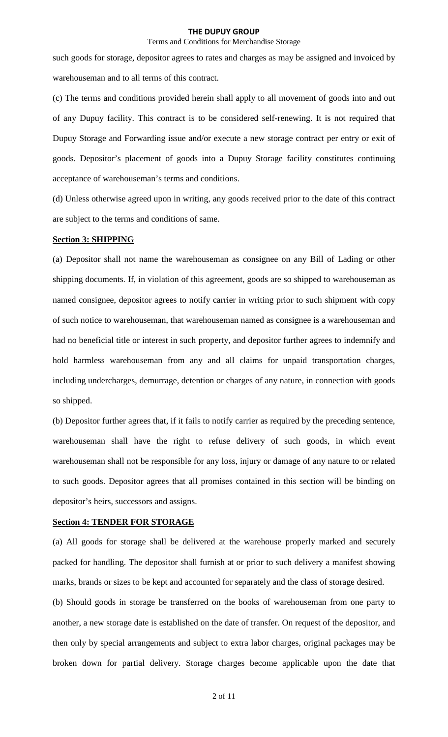### Terms and Conditions for Merchandise Storage

such goods for storage, depositor agrees to rates and charges as may be assigned and invoiced by warehouseman and to all terms of this contract.

(c) The terms and conditions provided herein shall apply to all movement of goods into and out of any Dupuy facility. This contract is to be considered self-renewing. It is not required that Dupuy Storage and Forwarding issue and/or execute a new storage contract per entry or exit of goods. Depositor's placement of goods into a Dupuy Storage facility constitutes continuing acceptance of warehouseman's terms and conditions.

(d) Unless otherwise agreed upon in writing, any goods received prior to the date of this contract are subject to the terms and conditions of same.

# **Section 3: SHIPPING**

(a) Depositor shall not name the warehouseman as consignee on any Bill of Lading or other shipping documents. If, in violation of this agreement, goods are so shipped to warehouseman as named consignee, depositor agrees to notify carrier in writing prior to such shipment with copy of such notice to warehouseman, that warehouseman named as consignee is a warehouseman and had no beneficial title or interest in such property, and depositor further agrees to indemnify and hold harmless warehouseman from any and all claims for unpaid transportation charges, including undercharges, demurrage, detention or charges of any nature, in connection with goods so shipped.

(b) Depositor further agrees that, if it fails to notify carrier as required by the preceding sentence, warehouseman shall have the right to refuse delivery of such goods, in which event warehouseman shall not be responsible for any loss, injury or damage of any nature to or related to such goods. Depositor agrees that all promises contained in this section will be binding on depositor's heirs, successors and assigns.

## **Section 4: TENDER FOR STORAGE**

(a) All goods for storage shall be delivered at the warehouse properly marked and securely packed for handling. The depositor shall furnish at or prior to such delivery a manifest showing marks, brands or sizes to be kept and accounted for separately and the class of storage desired.

(b) Should goods in storage be transferred on the books of warehouseman from one party to another, a new storage date is established on the date of transfer. On request of the depositor, and then only by special arrangements and subject to extra labor charges, original packages may be broken down for partial delivery. Storage charges become applicable upon the date that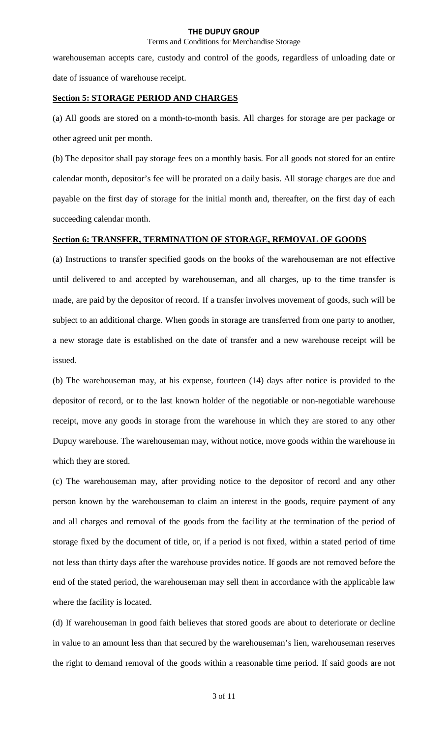## Terms and Conditions for Merchandise Storage

warehouseman accepts care, custody and control of the goods, regardless of unloading date or date of issuance of warehouse receipt.

#### **Section 5: STORAGE PERIOD AND CHARGES**

(a) All goods are stored on a month-to-month basis. All charges for storage are per package or other agreed unit per month.

(b) The depositor shall pay storage fees on a monthly basis. For all goods not stored for an entire calendar month, depositor's fee will be prorated on a daily basis. All storage charges are due and payable on the first day of storage for the initial month and, thereafter, on the first day of each succeeding calendar month.

# **Section 6: TRANSFER, TERMINATION OF STORAGE, REMOVAL OF GOODS**

(a) Instructions to transfer specified goods on the books of the warehouseman are not effective until delivered to and accepted by warehouseman, and all charges, up to the time transfer is made, are paid by the depositor of record. If a transfer involves movement of goods, such will be subject to an additional charge. When goods in storage are transferred from one party to another, a new storage date is established on the date of transfer and a new warehouse receipt will be issued.

(b) The warehouseman may, at his expense, fourteen (14) days after notice is provided to the depositor of record, or to the last known holder of the negotiable or non-negotiable warehouse receipt, move any goods in storage from the warehouse in which they are stored to any other Dupuy warehouse. The warehouseman may, without notice, move goods within the warehouse in which they are stored.

(c) The warehouseman may, after providing notice to the depositor of record and any other person known by the warehouseman to claim an interest in the goods, require payment of any and all charges and removal of the goods from the facility at the termination of the period of storage fixed by the document of title, or, if a period is not fixed, within a stated period of time not less than thirty days after the warehouse provides notice. If goods are not removed before the end of the stated period, the warehouseman may sell them in accordance with the applicable law where the facility is located.

(d) If warehouseman in good faith believes that stored goods are about to deteriorate or decline in value to an amount less than that secured by the warehouseman's lien, warehouseman reserves the right to demand removal of the goods within a reasonable time period. If said goods are not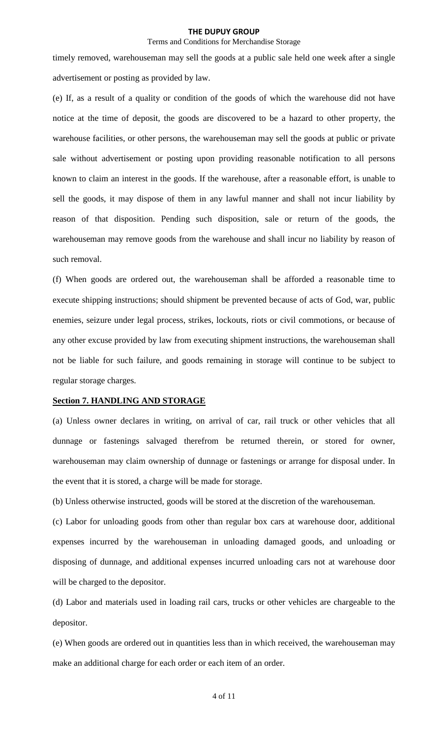### Terms and Conditions for Merchandise Storage

timely removed, warehouseman may sell the goods at a public sale held one week after a single advertisement or posting as provided by law.

(e) If, as a result of a quality or condition of the goods of which the warehouse did not have notice at the time of deposit, the goods are discovered to be a hazard to other property, the warehouse facilities, or other persons, the warehouseman may sell the goods at public or private sale without advertisement or posting upon providing reasonable notification to all persons known to claim an interest in the goods. If the warehouse, after a reasonable effort, is unable to sell the goods, it may dispose of them in any lawful manner and shall not incur liability by reason of that disposition. Pending such disposition, sale or return of the goods, the warehouseman may remove goods from the warehouse and shall incur no liability by reason of such removal.

(f) When goods are ordered out, the warehouseman shall be afforded a reasonable time to execute shipping instructions; should shipment be prevented because of acts of God, war, public enemies, seizure under legal process, strikes, lockouts, riots or civil commotions, or because of any other excuse provided by law from executing shipment instructions, the warehouseman shall not be liable for such failure, and goods remaining in storage will continue to be subject to regular storage charges.

## **Section 7. HANDLING AND STORAGE**

(a) Unless owner declares in writing, on arrival of car, rail truck or other vehicles that all dunnage or fastenings salvaged therefrom be returned therein, or stored for owner, warehouseman may claim ownership of dunnage or fastenings or arrange for disposal under. In the event that it is stored, a charge will be made for storage.

(b) Unless otherwise instructed, goods will be stored at the discretion of the warehouseman.

(c) Labor for unloading goods from other than regular box cars at warehouse door, additional expenses incurred by the warehouseman in unloading damaged goods, and unloading or disposing of dunnage, and additional expenses incurred unloading cars not at warehouse door will be charged to the depositor.

(d) Labor and materials used in loading rail cars, trucks or other vehicles are chargeable to the depositor.

(e) When goods are ordered out in quantities less than in which received, the warehouseman may make an additional charge for each order or each item of an order.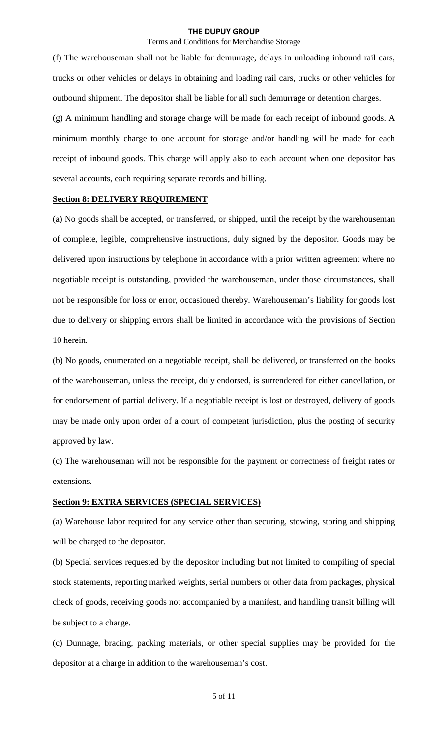## Terms and Conditions for Merchandise Storage

(f) The warehouseman shall not be liable for demurrage, delays in unloading inbound rail cars, trucks or other vehicles or delays in obtaining and loading rail cars, trucks or other vehicles for outbound shipment. The depositor shall be liable for all such demurrage or detention charges. (g) A minimum handling and storage charge will be made for each receipt of inbound goods. A minimum monthly charge to one account for storage and/or handling will be made for each receipt of inbound goods. This charge will apply also to each account when one depositor has several accounts, each requiring separate records and billing.

### **Section 8: DELIVERY REQUIREMENT**

(a) No goods shall be accepted, or transferred, or shipped, until the receipt by the warehouseman of complete, legible, comprehensive instructions, duly signed by the depositor. Goods may be delivered upon instructions by telephone in accordance with a prior written agreement where no negotiable receipt is outstanding, provided the warehouseman, under those circumstances, shall not be responsible for loss or error, occasioned thereby. Warehouseman's liability for goods lost due to delivery or shipping errors shall be limited in accordance with the provisions of Section 10 herein.

(b) No goods, enumerated on a negotiable receipt, shall be delivered, or transferred on the books of the warehouseman, unless the receipt, duly endorsed, is surrendered for either cancellation, or for endorsement of partial delivery. If a negotiable receipt is lost or destroyed, delivery of goods may be made only upon order of a court of competent jurisdiction, plus the posting of security approved by law.

(c) The warehouseman will not be responsible for the payment or correctness of freight rates or extensions.

### **Section 9: EXTRA SERVICES (SPECIAL SERVICES)**

(a) Warehouse labor required for any service other than securing, stowing, storing and shipping will be charged to the depositor.

(b) Special services requested by the depositor including but not limited to compiling of special stock statements, reporting marked weights, serial numbers or other data from packages, physical check of goods, receiving goods not accompanied by a manifest, and handling transit billing will be subject to a charge.

(c) Dunnage, bracing, packing materials, or other special supplies may be provided for the depositor at a charge in addition to the warehouseman's cost.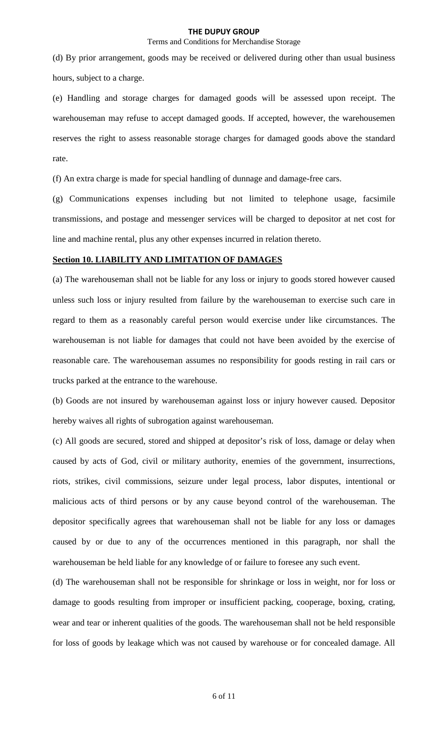## Terms and Conditions for Merchandise Storage

(d) By prior arrangement, goods may be received or delivered during other than usual business hours, subject to a charge.

(e) Handling and storage charges for damaged goods will be assessed upon receipt. The warehouseman may refuse to accept damaged goods. If accepted, however, the warehousemen reserves the right to assess reasonable storage charges for damaged goods above the standard rate.

(f) An extra charge is made for special handling of dunnage and damage-free cars.

(g) Communications expenses including but not limited to telephone usage, facsimile transmissions, and postage and messenger services will be charged to depositor at net cost for line and machine rental, plus any other expenses incurred in relation thereto.

# **Section 10. LIABILITY AND LIMITATION OF DAMAGES**

(a) The warehouseman shall not be liable for any loss or injury to goods stored however caused unless such loss or injury resulted from failure by the warehouseman to exercise such care in regard to them as a reasonably careful person would exercise under like circumstances. The warehouseman is not liable for damages that could not have been avoided by the exercise of reasonable care. The warehouseman assumes no responsibility for goods resting in rail cars or trucks parked at the entrance to the warehouse.

(b) Goods are not insured by warehouseman against loss or injury however caused. Depositor hereby waives all rights of subrogation against warehouseman.

(c) All goods are secured, stored and shipped at depositor's risk of loss, damage or delay when caused by acts of God, civil or military authority, enemies of the government, insurrections, riots, strikes, civil commissions, seizure under legal process, labor disputes, intentional or malicious acts of third persons or by any cause beyond control of the warehouseman. The depositor specifically agrees that warehouseman shall not be liable for any loss or damages caused by or due to any of the occurrences mentioned in this paragraph, nor shall the warehouseman be held liable for any knowledge of or failure to foresee any such event.

(d) The warehouseman shall not be responsible for shrinkage or loss in weight, nor for loss or damage to goods resulting from improper or insufficient packing, cooperage, boxing, crating, wear and tear or inherent qualities of the goods. The warehouseman shall not be held responsible for loss of goods by leakage which was not caused by warehouse or for concealed damage. All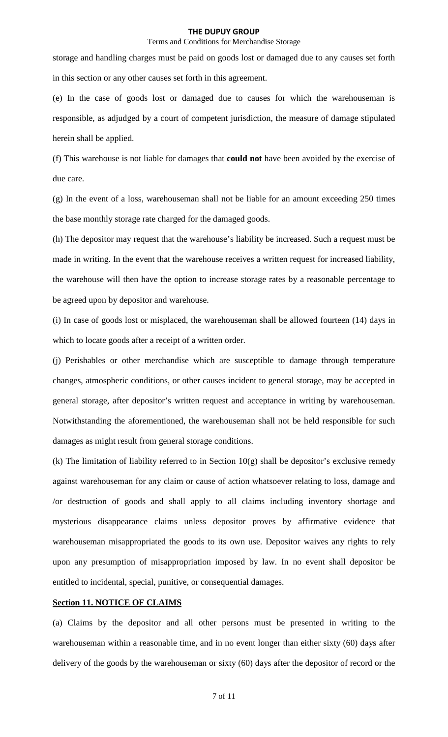### Terms and Conditions for Merchandise Storage

storage and handling charges must be paid on goods lost or damaged due to any causes set forth in this section or any other causes set forth in this agreement.

(e) In the case of goods lost or damaged due to causes for which the warehouseman is responsible, as adjudged by a court of competent jurisdiction, the measure of damage stipulated herein shall be applied.

(f) This warehouse is not liable for damages that **could not** have been avoided by the exercise of due care.

(g) In the event of a loss, warehouseman shall not be liable for an amount exceeding 250 times the base monthly storage rate charged for the damaged goods.

(h) The depositor may request that the warehouse's liability be increased. Such a request must be made in writing. In the event that the warehouse receives a written request for increased liability, the warehouse will then have the option to increase storage rates by a reasonable percentage to be agreed upon by depositor and warehouse.

(i) In case of goods lost or misplaced, the warehouseman shall be allowed fourteen (14) days in which to locate goods after a receipt of a written order.

(j) Perishables or other merchandise which are susceptible to damage through temperature changes, atmospheric conditions, or other causes incident to general storage, may be accepted in general storage, after depositor's written request and acceptance in writing by warehouseman. Notwithstanding the aforementioned, the warehouseman shall not be held responsible for such damages as might result from general storage conditions.

(k) The limitation of liability referred to in Section  $10(g)$  shall be depositor's exclusive remedy against warehouseman for any claim or cause of action whatsoever relating to loss, damage and /or destruction of goods and shall apply to all claims including inventory shortage and mysterious disappearance claims unless depositor proves by affirmative evidence that warehouseman misappropriated the goods to its own use. Depositor waives any rights to rely upon any presumption of misappropriation imposed by law. In no event shall depositor be entitled to incidental, special, punitive, or consequential damages.

### **Section 11. NOTICE OF CLAIMS**

(a) Claims by the depositor and all other persons must be presented in writing to the warehouseman within a reasonable time, and in no event longer than either sixty (60) days after delivery of the goods by the warehouseman or sixty (60) days after the depositor of record or the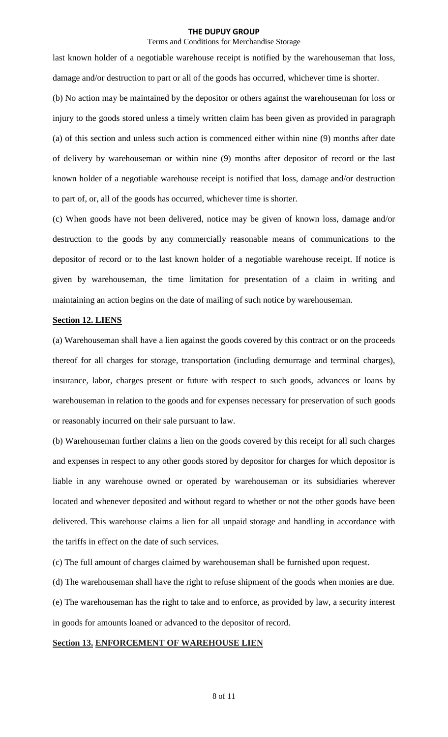### Terms and Conditions for Merchandise Storage

last known holder of a negotiable warehouse receipt is notified by the warehouseman that loss, damage and/or destruction to part or all of the goods has occurred, whichever time is shorter.

(b) No action may be maintained by the depositor or others against the warehouseman for loss or injury to the goods stored unless a timely written claim has been given as provided in paragraph (a) of this section and unless such action is commenced either within nine (9) months after date of delivery by warehouseman or within nine (9) months after depositor of record or the last known holder of a negotiable warehouse receipt is notified that loss, damage and/or destruction to part of, or, all of the goods has occurred, whichever time is shorter.

(c) When goods have not been delivered, notice may be given of known loss, damage and/or destruction to the goods by any commercially reasonable means of communications to the depositor of record or to the last known holder of a negotiable warehouse receipt. If notice is given by warehouseman, the time limitation for presentation of a claim in writing and maintaining an action begins on the date of mailing of such notice by warehouseman.

## **Section 12. LIENS**

(a) Warehouseman shall have a lien against the goods covered by this contract or on the proceeds thereof for all charges for storage, transportation (including demurrage and terminal charges), insurance, labor, charges present or future with respect to such goods, advances or loans by warehouseman in relation to the goods and for expenses necessary for preservation of such goods or reasonably incurred on their sale pursuant to law.

(b) Warehouseman further claims a lien on the goods covered by this receipt for all such charges and expenses in respect to any other goods stored by depositor for charges for which depositor is liable in any warehouse owned or operated by warehouseman or its subsidiaries wherever located and whenever deposited and without regard to whether or not the other goods have been delivered. This warehouse claims a lien for all unpaid storage and handling in accordance with the tariffs in effect on the date of such services.

(c) The full amount of charges claimed by warehouseman shall be furnished upon request.

(d) The warehouseman shall have the right to refuse shipment of the goods when monies are due.

(e) The warehouseman has the right to take and to enforce, as provided by law, a security interest in goods for amounts loaned or advanced to the depositor of record.

### **Section 13. ENFORCEMENT OF WAREHOUSE LIEN**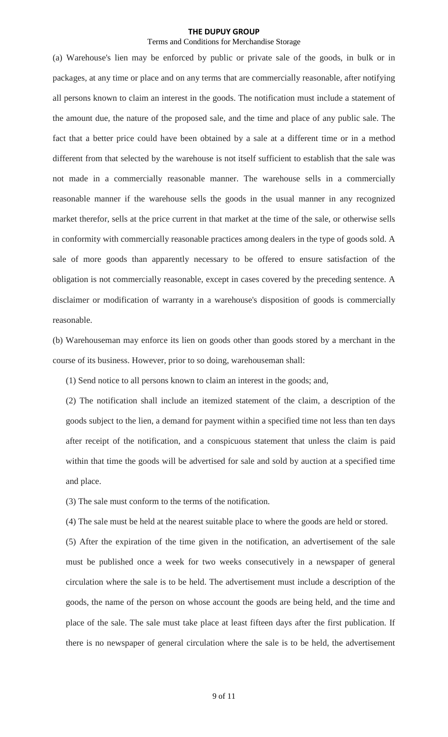## Terms and Conditions for Merchandise Storage

(a) Warehouse's lien may be enforced by public or private sale of the goods, in bulk or in packages, at any time or place and on any terms that are commercially reasonable, after notifying all persons known to claim an interest in the goods. The notification must include a statement of the amount due, the nature of the proposed sale, and the time and place of any public sale. The fact that a better price could have been obtained by a sale at a different time or in a method different from that selected by the warehouse is not itself sufficient to establish that the sale was not made in a commercially reasonable manner. The warehouse sells in a commercially reasonable manner if the warehouse sells the goods in the usual manner in any recognized market therefor, sells at the price current in that market at the time of the sale, or otherwise sells in conformity with commercially reasonable practices among dealers in the type of goods sold. A sale of more goods than apparently necessary to be offered to ensure satisfaction of the obligation is not commercially reasonable, except in cases covered by the preceding sentence. A disclaimer or modification of warranty in a warehouse's disposition of goods is commercially reasonable.

(b) Warehouseman may enforce its lien on goods other than goods stored by a merchant in the course of its business. However, prior to so doing, warehouseman shall:

(1) Send notice to all persons known to claim an interest in the goods; and,

(2) The notification shall include an itemized statement of the claim, a description of the goods subject to the lien, a demand for payment within a specified time not less than ten days after receipt of the notification, and a conspicuous statement that unless the claim is paid within that time the goods will be advertised for sale and sold by auction at a specified time and place.

(3) The sale must conform to the terms of the notification.

(4) The sale must be held at the nearest suitable place to where the goods are held or stored.

(5) After the expiration of the time given in the notification, an advertisement of the sale must be published once a week for two weeks consecutively in a newspaper of general circulation where the sale is to be held. The advertisement must include a description of the goods, the name of the person on whose account the goods are being held, and the time and place of the sale. The sale must take place at least fifteen days after the first publication. If there is no newspaper of general circulation where the sale is to be held, the advertisement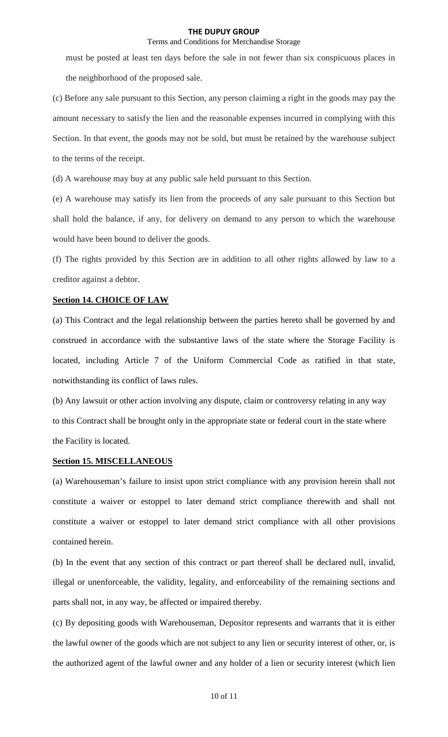## Terms and Conditions for Merchandise Storage

must be posted at least ten days before the sale in not fewer than six conspicuous places in the neighborhood of the proposed sale.

(c) Before any sale pursuant to this Section, any person claiming a right in the goods may pay the amount necessary to satisfy the lien and the reasonable expenses incurred in complying with this Section. In that event, the goods may not be sold, but must be retained by the warehouse subject to the terms of the receipt.

(d) A warehouse may buy at any public sale held pursuant to this Section.

(e) A warehouse may satisfy its lien from the proceeds of any sale pursuant to this Section but shall hold the balance, if any, for delivery on demand to any person to which the warehouse would have been bound to deliver the goods.

(f) The rights provided by this Section are in addition to all other rights allowed by law to a creditor against a debtor.

## **Section 14. CHOICE OF LAW**

(a) This Contract and the legal relationship between the parties hereto shall be governed by and construed in accordance with the substantive laws of the state where the Storage Facility is located, including Article 7 of the Uniform Commercial Code as ratified in that state, notwithstanding its conflict of laws rules.

(b) Any lawsuit or other action involving any dispute, claim or controversy relating in any way to this Contract shall be brought only in the appropriate state or federal court in the state where the Facility is located.

## **Section 15. MISCELLANEOUS**

(a) Warehouseman's failure to insist upon strict compliance with any provision herein shall not constitute a waiver or estoppel to later demand strict compliance therewith and shall not constitute a waiver or estoppel to later demand strict compliance with all other provisions contained herein.

(b) In the event that any section of this contract or part thereof shall be declared null, invalid, illegal or unenforceable, the validity, legality, and enforceability of the remaining sections and parts shall not, in any way, be affected or impaired thereby.

(c) By depositing goods with Warehouseman, Depositor represents and warrants that it is either the lawful owner of the goods which are not subject to any lien or security interest of other, or, is the authorized agent of the lawful owner and any holder of a lien or security interest (which lien